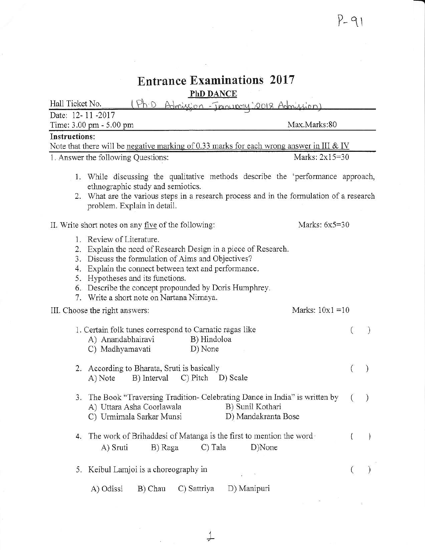$\sim$ 

| <b>Entrance Examinations 2017</b><br><b>PhD DANCE</b>                                                                                                                                                                                                                                                                                              |                    |
|----------------------------------------------------------------------------------------------------------------------------------------------------------------------------------------------------------------------------------------------------------------------------------------------------------------------------------------------------|--------------------|
| Ph·D<br>Hall Ticket No.<br>Admission - January 2018 Admission)                                                                                                                                                                                                                                                                                     |                    |
| Date: 12-11-2017<br>Time: 3.00 pm - 5.00 pm                                                                                                                                                                                                                                                                                                        | Max.Marks:80       |
| Instructions:                                                                                                                                                                                                                                                                                                                                      |                    |
| Note that there will be negative marking of 0.33 marks for each wrong answer in III & IV                                                                                                                                                                                                                                                           |                    |
| 1. Answer the following Questions:                                                                                                                                                                                                                                                                                                                 | Marks: 2x15=30     |
| 1. While discussing the qualitative methods describe the 'performance approach,<br>ethnographic study and semiotics.<br>2. What are the various steps in a research process and in the formulation of a research<br>problem. Explain in detail.                                                                                                    |                    |
| II. Write short notes on any five of the following:                                                                                                                                                                                                                                                                                                | Marks: $6x5=30$    |
| 1. Review of Literature.<br>2. Explain the need of Research Design in a piece of Research.<br>3. Discuss the formulation of Aims and Objectives?<br>4. Explain the connect between text and performance.<br>5. Hypotheses and its functions.<br>6. Describe the concept propounded by Doris Humphrey.<br>7. Write a short note on Nartana Nirnaya. |                    |
| III. Choose the right answers:                                                                                                                                                                                                                                                                                                                     | Marks: $10x1 = 10$ |
| 1. Certain folk tunes correspond to Carnatic ragas like<br>B) Hindoloa<br>A) Anandabhairavi<br>D) None<br>C) Madhyamavati                                                                                                                                                                                                                          |                    |
| 2. According to Bharata, Sruti is basically<br>C) Pitch<br>B) Interval<br>D) Scale<br>A) Note                                                                                                                                                                                                                                                      |                    |
| 3. The Book "Traversing Tradition- Celebrating Dance in India" is written by<br>A) Uttara Asha Coorlawala<br>B) Sunil Kothari<br>D) Mandakranta Bose<br>C) Urmimala Sarkar Munsi                                                                                                                                                                   | $\mathcal{C}$      |
| The work of Brihaddesi of Matanga is the first to mention the word<br>4.<br>C) Tala<br>D)None<br>A) Sruti<br>B) Raga                                                                                                                                                                                                                               |                    |
| 5. Keibul Lamjoi is a choreography in                                                                                                                                                                                                                                                                                                              |                    |
| D) Manipuri<br>B) Chau<br>A) Odissi<br>C) Sattriya                                                                                                                                                                                                                                                                                                 |                    |

년

 $\mathcal{W}$ 

L